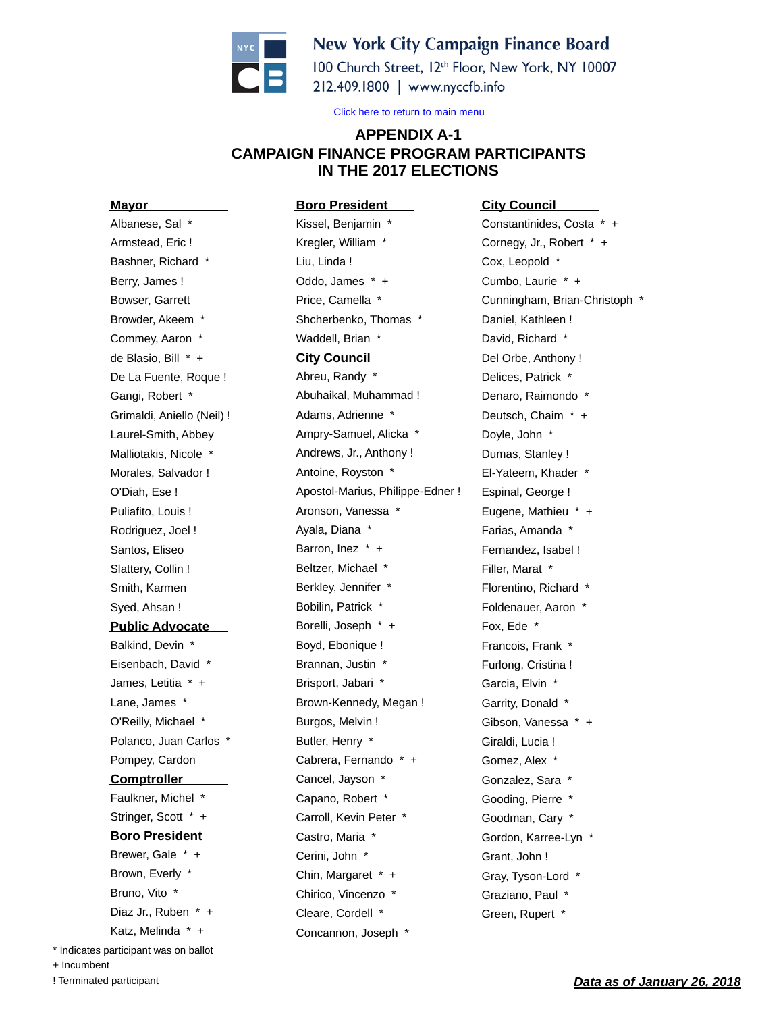

## **New York City Campaign Finance Board**

100 Church Street, 12th Floor, New York, NY 10007 212.409.1800 | www.nyccfb.info

Click here to return to main menu

## **APPENDIX A-1 CAMPAIGN FINANCE PROGRAM PARTICIPANTS IN THE 2017 ELECTIONS**

**Mayor** Albanese, Sal \* Armstead, Eric ! Bashner, Richard \* Berry, James ! Bowser, Garrett Browder, Akeem \* Commey, Aaron \* de Blasio, Bill \* + De La Fuente, Roque ! Gangi, Robert \* Grimaldi, Aniello (Neil) ! Laurel-Smith, Abbey Malliotakis, Nicole \* Morales, Salvador ! O'Diah, Ese ! Puliafito, Louis ! Rodriguez, Joel ! Santos, Eliseo Slattery, Collin ! Smith, Karmen Syed, Ahsan ! **Public Advocate** Balkind, Devin \* Eisenbach, David \* James, Letitia \* + Lane, James \* O'Reilly, Michael \* Polanco, Juan Carlos \* Pompey, Cardon **Comptroller** Faulkner, Michel \* Stringer, Scott \* + **Boro President** Brewer, Gale \* + Brown, Everly \* Bruno, Vito \* Diaz Jr., Ruben \* + Katz, Melinda \* + \* Indicates participant was on ballot

**Boro President** Kissel, Benjamin \* Kregler, William \* Liu, Linda ! Oddo, James \* + Price, Camella \* Shcherbenko, Thomas \* Waddell, Brian \* **City Council** Abreu, Randy \* Abuhaikal, Muhammad ! Adams, Adrienne \* Ampry-Samuel, Alicka \* Andrews, Jr., Anthony ! Antoine, Royston \* Apostol-Marius, Philippe-Edner ! Aronson, Vanessa \* Ayala, Diana \* Barron, Inez \* + Beltzer, Michael \* Berkley, Jennifer \* Bobilin, Patrick \* Borelli, Joseph \* + Boyd, Ebonique ! Brannan, Justin \* Brisport, Jabari \* Brown-Kennedy, Megan ! Burgos, Melvin ! Butler, Henry \* Cabrera, Fernando \* + Cancel, Jayson \* Capano, Robert \* Carroll, Kevin Peter \* Castro, Maria \* Cerini, John \* Chin, Margaret \* + Chirico, Vincenzo \* Cleare, Cordell \* Concannon, Joseph \*

**City Council** Constantinides, Costa \* + Cornegy, Jr., Robert \* + Cox, Leopold \* Cumbo, Laurie \* + Cunningham, Brian-Christoph \* Daniel, Kathleen ! David, Richard \* Del Orbe, Anthony ! Delices, Patrick \* Denaro, Raimondo \* Deutsch, Chaim \* + Doyle, John \* Dumas, Stanley ! El-Yateem, Khader \* Espinal, George ! Eugene, Mathieu \* + Farias, Amanda \* Fernandez, Isabel ! Filler, Marat \* Florentino, Richard \* Foldenauer, Aaron \* Fox, Ede \* Francois, Frank \* Furlong, Cristina ! Garcia, Elvin \* Garrity, Donald \* Gibson, Vanessa \* + Giraldi, Lucia ! Gomez, Alex \* Gonzalez, Sara \* Gooding, Pierre \* Goodman, Cary \* Gordon, Karree-Lyn \* Grant, John ! Gray, Tyson-Lord \* Graziano, Paul \* Green, Rupert \*

+ Incumbent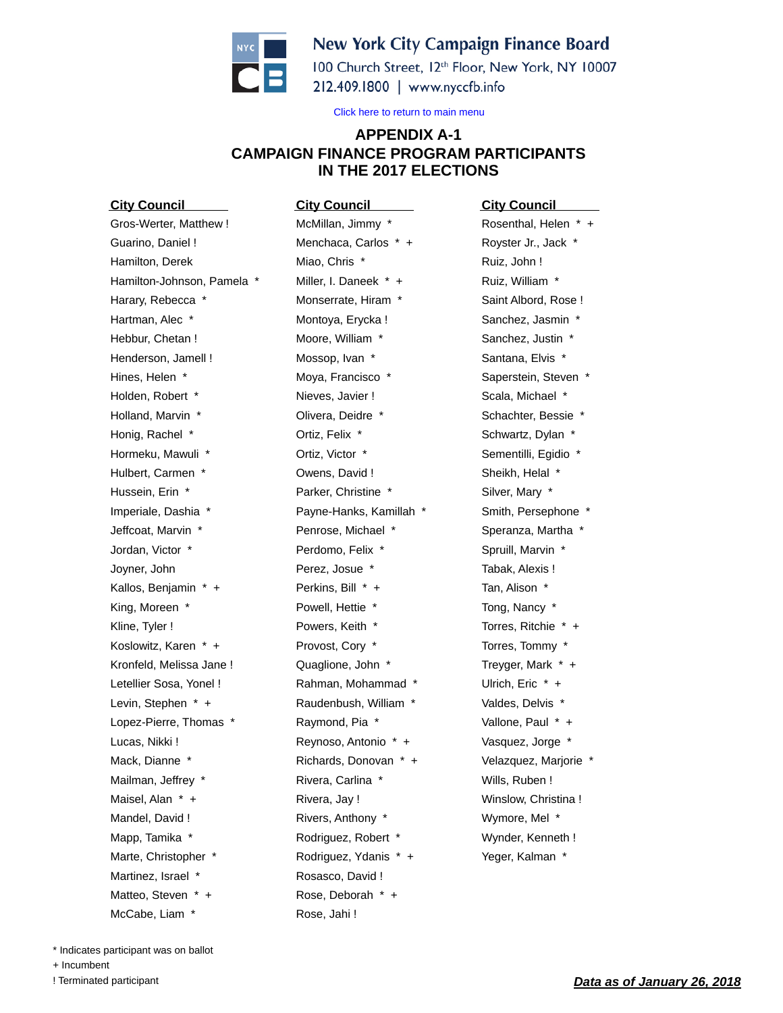

## **New York City Campaign Finance Board**

100 Church Street, 12th Floor, New York, NY 10007 212.409.1800 | www.nyccfb.info

Click here to return to main menu

## **APPENDIX A-1 CAMPAIGN FINANCE PROGRAM PARTICIPANTS IN THE 2017 ELECTIONS**

**City Council** Gros-Werter, Matthew ! Guarino, Daniel ! Hamilton, Derek Hamilton-Johnson, Pamela \* Harary, Rebecca \* Hartman, Alec \* Hebbur, Chetan ! Henderson, Jamell ! Hines, Helen \* Holden, Robert \* Holland, Marvin \* Honig, Rachel \* Hormeku, Mawuli \* Hulbert, Carmen \* Hussein, Erin \* Imperiale, Dashia \* Jeffcoat, Marvin \* Jordan, Victor \* Joyner, John Kallos, Benjamin \* + King, Moreen \* Kline, Tyler ! Koslowitz, Karen \* + Kronfeld, Melissa Jane ! Letellier Sosa, Yonel ! Levin, Stephen \* + Lopez-Pierre, Thomas \* Lucas, Nikki ! Mack, Dianne \* Mailman, Jeffrey \* Maisel, Alan \* + Mandel, David ! Mapp, Tamika \* Marte, Christopher \* Martinez, Israel \* Matteo, Steven \* + McCabe, Liam \*

**City Council** McMillan, Jimmy \* Menchaca, Carlos \* + Miao, Chris \* Miller, I. Daneek \* + Monserrate, Hiram \* Montoya, Erycka ! Moore, William \* Mossop, Ivan \* Moya, Francisco \* Nieves, Javier ! Olivera, Deidre \* Ortiz, Felix \* Ortiz, Victor \* Owens, David ! Parker, Christine \* Payne-Hanks, Kamillah \* Penrose, Michael \* Perdomo, Felix \* Perez, Josue \* Perkins, Bill \* + Powell, Hettie \* Powers, Keith \* Provost, Cory \* Quaglione, John \* Rahman, Mohammad \* Raudenbush, William \* Raymond, Pia \* Reynoso, Antonio \* + Richards, Donovan \* + Rivera, Carlina \* Rivera, Jay ! Rivers, Anthony \* Rodriguez, Robert \* Rodriguez, Ydanis \* + Rosasco, David ! Rose, Deborah \* + Rose, Jahi !

**City Council** Rosenthal, Helen \* + Royster Jr., Jack \* Ruiz, John ! Ruiz, William \* Saint Albord, Rose ! Sanchez, Jasmin \* Sanchez, Justin \* Santana, Elvis \* Saperstein, Steven \* Scala, Michael \* Schachter, Bessie \* Schwartz, Dylan \* Sementilli, Egidio \* Sheikh, Helal \* Silver, Mary \* Smith, Persephone \* Speranza, Martha \* Spruill, Marvin \* Tabak, Alexis ! Tan, Alison \* Tong, Nancy \* Torres, Ritchie \* + Torres, Tommy \* Treyger, Mark \* + Ulrich, Eric \* + Valdes, Delvis \* Vallone, Paul \* + Vasquez, Jorge \* Velazquez, Marjorie \* Wills, Ruben ! Winslow, Christina ! Wymore, Mel \* Wynder, Kenneth ! Yeger, Kalman \*